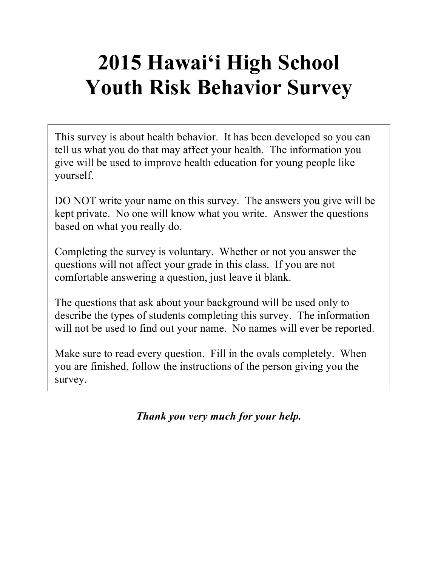# **2015 Hawai'i High School Youth Risk Behavior Survey**

This survey is about health behavior. It has been developed so you can tell us what you do that may affect your health. The information you give will be used to improve health education for young people like yourself.

DO NOT write your name on this survey. The answers you give will be kept private. No one will know what you write. Answer the questions based on what you really do.

Completing the survey is voluntary. Whether or not you answer the questions will not affect your grade in this class. If you are not comfortable answering a question, just leave it blank.

The questions that ask about your background will be used only to describe the types of students completing this survey. The information will not be used to find out your name. No names will ever be reported.

Make sure to read every question. Fill in the ovals completely. When you are finished, follow the instructions of the person giving you the survey.

*Thank you very much for your help.*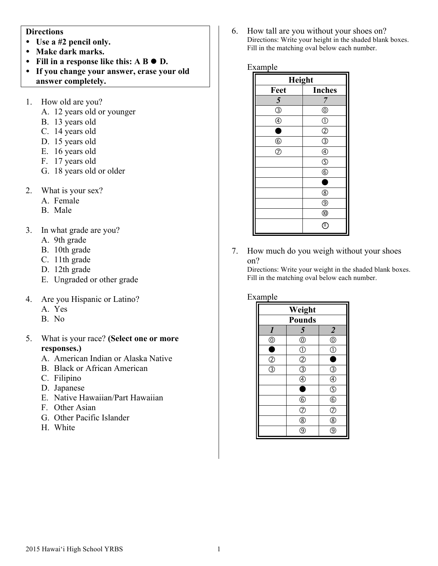#### **Directions**

- ! **Use a #2 pencil only.**
- ! **Make dark marks.**
- Fill in a response like this: A **B**  $\bullet$  **D**.
- ! **If you change your answer, erase your old answer completely.**
- 1. How old are you?
	- A. 12 years old or younger
	- B. 13 years old
	- C. 14 years old
	- D. 15 years old
	- E. 16 years old
	- F. 17 years old
	- G. 18 years old or older
- 2. What is your sex?
	- A. Female
	- B. Male
- 3. In what grade are you?
	- A. 9th grade
	- B. 10th grade
	- C. 11th grade
	- D. 12th grade
	- E. Ungraded or other grade
- 4. Are you Hispanic or Latino?
	- A. Yes
	- B. No
- 5. What is your race? **(Select one or more responses.)**
	- A. American Indian or Alaska Native
	- B. Black or African American
	- C. Filipino
	- D. Japanese
	- E. Native Hawaiian/Part Hawaiian
	- F. Other Asian
	- G. Other Pacific Islander
	- H. White

6. How tall are you without your shoes on? Directions: Write your height in the shaded blank boxes. Fill in the matching oval below each number.

#### Example

| Height                        |                        |  |
|-------------------------------|------------------------|--|
| Feet                          | <b>Inches</b>          |  |
| 5                             | 7                      |  |
| $\circledS$                   | $^{\circledR}$         |  |
| $^{\circledR}$                | $\circled{1}$          |  |
| Ò                             | $^{\circledR}$         |  |
| $\frac{\circledR}{\circledR}$ | $\overline{\circledS}$ |  |
|                               | $^{\circledR}$         |  |
|                               | $\circledS$            |  |
|                               | $^{\circ}$             |  |
|                               | ٠                      |  |
|                               | $^{\circledR}$         |  |
|                               | $^{\circledR}$         |  |
|                               | $^{\circledR}$         |  |
|                               | $(\mathbb{I})$         |  |

7. How much do you weigh without your shoes on?

Directions: Write your weight in the shaded blank boxes. Fill in the matching oval below each number.

#### Example

| Weight           |                                           |                         |
|------------------|-------------------------------------------|-------------------------|
| <b>Pounds</b>    |                                           |                         |
| $\boldsymbol{l}$ | 5                                         | $\overline{\mathbf{c}}$ |
| $^\copyright$    | $\circledcirc$                            | $\circledcirc$          |
| 8                | $\overline{0}$                            | Œ                       |
| $\overline{2}$   | $\overline{c}$                            |                         |
| $\bar{\odot}$    | $\overline{\textcircled{\scriptsize{3}}}$ | T                       |
|                  | $\overline{\textcircled{\small{4}}}$      | $\overline{\mathbb{C}}$ |
|                  | E                                         | $\overline{\mathbb{G}}$ |
|                  | $\circledS$                               | $\overline{6}$          |
|                  | $\circledcirc$                            | $\bar{\odot}$           |
|                  | $\bar{\circledR}$                         | Ċ                       |
|                  | g                                         |                         |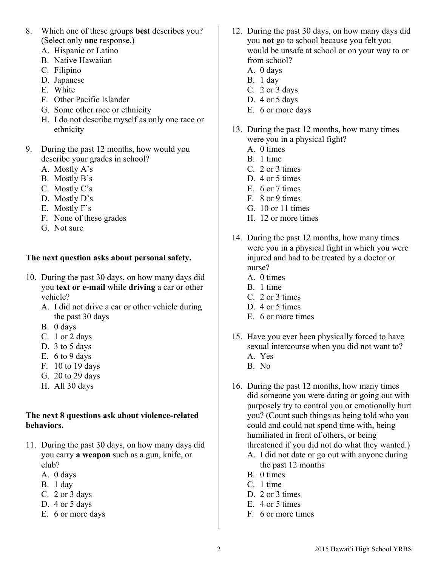- 8. Which one of these groups **best** describes you? (Select only **one** response.)
	- A. Hispanic or Latino
	- B. Native Hawaiian
	- C. Filipino
	- D. Japanese
	- E. White
	- F. Other Pacific Islander
	- G. Some other race or ethnicity
	- H. I do not describe myself as only one race or ethnicity
- 9. During the past 12 months, how would you describe your grades in school?
	- A. Mostly A's
	- B. Mostly B's
	- C. Mostly C's
	- D. Mostly D's
	- E. Mostly F's
	- F. None of these grades
	- G. Not sure

## **The next question asks about personal safety.**

- 10. During the past 30 days, on how many days did you **text or e-mail** while **driving** a car or other vehicle?
	- A. I did not drive a car or other vehicle during the past 30 days
	- B. 0 days
	- C. 1 or 2 days
	- D. 3 to 5 days
	- E. 6 to 9 days
	- F. 10 to 19 days
	- G. 20 to 29 days
	- H. All 30 days

#### **The next 8 questions ask about violence-related behaviors.**

- 11. During the past 30 days, on how many days did you carry **a weapon** such as a gun, knife, or club?
	- A. 0 days
	- B. 1 day
	- C. 2 or 3 days
	- D. 4 or 5 days
	- E. 6 or more days
- 12. During the past 30 days, on how many days did you **not** go to school because you felt you would be unsafe at school or on your way to or from school?
	- A. 0 days
	- B. 1 day
	- C. 2 or 3 days
	- D. 4 or 5 days
	- E. 6 or more days
- 13. During the past 12 months, how many times were you in a physical fight?
	- A. 0 times
	- B. 1 time
	- C. 2 or 3 times
	- D. 4 or 5 times
	- E. 6 or 7 times
	- F. 8 or 9 times
	- G. 10 or 11 times
	- H. 12 or more times
- 14. During the past 12 months, how many times were you in a physical fight in which you were injured and had to be treated by a doctor or nurse?
	- A. 0 times
	- B. 1 time
	- C. 2 or 3 times
	- D. 4 or 5 times
	- E. 6 or more times
- 15. Have you ever been physically forced to have sexual intercourse when you did not want to? A. Yes
	- B. No
- 16. During the past 12 months, how many times did someone you were dating or going out with purposely try to control you or emotionally hurt you? (Count such things as being told who you could and could not spend time with, being humiliated in front of others, or being threatened if you did not do what they wanted.)
	- A. I did not date or go out with anyone during the past 12 months
	- B. 0 times
	- C. 1 time
	- D. 2 or 3 times
	- E. 4 or 5 times
	- F. 6 or more times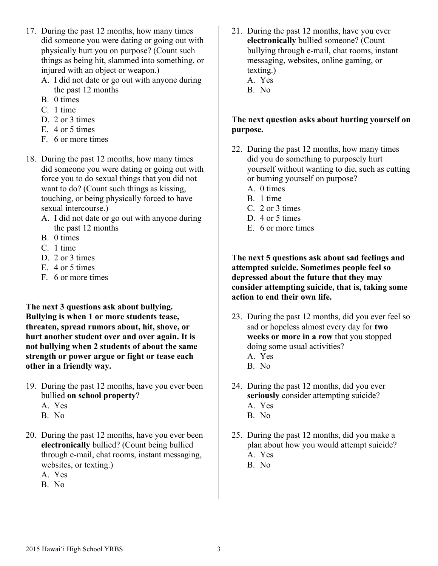- 17. During the past 12 months, how many times did someone you were dating or going out with physically hurt you on purpose? (Count such things as being hit, slammed into something, or injured with an object or weapon.)
	- A. I did not date or go out with anyone during the past 12 months
	- B. 0 times
	- C. 1 time
	- D. 2 or 3 times
	- E. 4 or 5 times
	- F. 6 or more times
- 18. During the past 12 months, how many times did someone you were dating or going out with force you to do sexual things that you did not want to do? (Count such things as kissing, touching, or being physically forced to have sexual intercourse.)
	- A. I did not date or go out with anyone during the past 12 months
	- B. 0 times
	- C. 1 time
	- D. 2 or 3 times
	- E. 4 or 5 times
	- F. 6 or more times

**The next 3 questions ask about bullying. Bullying is when 1 or more students tease, threaten, spread rumors about, hit, shove, or hurt another student over and over again. It is not bullying when 2 students of about the same strength or power argue or fight or tease each other in a friendly way.**

- 19. During the past 12 months, have you ever been bullied **on school property**?
	- A. Yes
	- B. No
- 20. During the past 12 months, have you ever been **electronically** bullied? (Count being bullied through e-mail, chat rooms, instant messaging, websites, or texting.)
	- A. Yes
	- B. No
- 21. During the past 12 months, have you ever **electronically** bullied someone? (Count bullying through e-mail, chat rooms, instant messaging, websites, online gaming, or texting.) A. Yes
	- B. No

# **The next question asks about hurting yourself on purpose.**

- 22. During the past 12 months, how many times did you do something to purposely hurt yourself without wanting to die, such as cutting or burning yourself on purpose?
	- A. 0 times
	- B. 1 time
	- C. 2 or 3 times
	- D. 4 or 5 times
	- E. 6 or more times

#### **The next 5 questions ask about sad feelings and attempted suicide. Sometimes people feel so depressed about the future that they may consider attempting suicide, that is, taking some action to end their own life.**

- 23. During the past 12 months, did you ever feel so sad or hopeless almost every day for **two weeks or more in a row** that you stopped doing some usual activities? A. Yes
	- B. No
- 24. During the past 12 months, did you ever **seriously** consider attempting suicide? A. Yes B. No
- 25. During the past 12 months, did you make a plan about how you would attempt suicide? A. Yes
	- B. No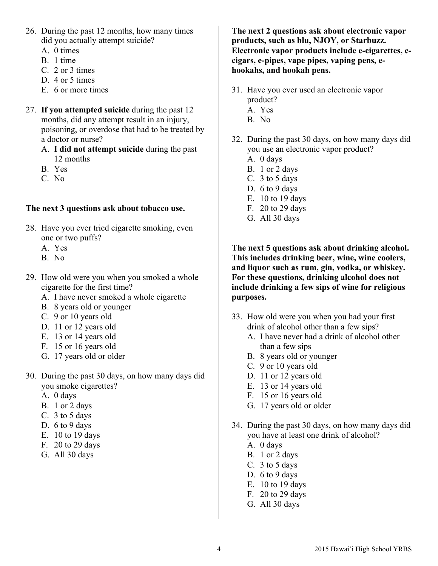- 26. During the past 12 months, how many times did you actually attempt suicide?
	- A. 0 times
	- B. 1 time
	- C. 2 or 3 times
	- D. 4 or 5 times
	- E. 6 or more times
- 27. **If you attempted suicide** during the past 12 months, did any attempt result in an injury, poisoning, or overdose that had to be treated by a doctor or nurse?
	- A. **I did not attempt suicide** during the past 12 months
	- B. Yes
	- C. No

#### **The next 3 questions ask about tobacco use.**

- 28. Have you ever tried cigarette smoking, even one or two puffs?
	- A. Yes
	- B. No
- 29. How old were you when you smoked a whole cigarette for the first time?
	- A. I have never smoked a whole cigarette
	- B. 8 years old or younger
	- C. 9 or 10 years old
	- D. 11 or 12 years old
	- E. 13 or 14 years old
	- F. 15 or 16 years old
	- G. 17 years old or older
- 30. During the past 30 days, on how many days did you smoke cigarettes?
	- A. 0 days
	- B. 1 or 2 days
	- C. 3 to 5 days
	- D. 6 to 9 days
	- E. 10 to 19 days
	- F. 20 to 29 days
	- G. All 30 days

**The next 2 questions ask about electronic vapor products, such as blu, NJOY, or Starbuzz. Electronic vapor products include e-cigarettes, ecigars, e-pipes, vape pipes, vaping pens, ehookahs, and hookah pens.**

- 31. Have you ever used an electronic vapor product? A. Yes
	- B. No
	-
- 32. During the past 30 days, on how many days did you use an electronic vapor product?
	- A. 0 days
	- B. 1 or 2 days
	- C. 3 to 5 days
	- D. 6 to 9 days
	- E. 10 to 19 days
	- F. 20 to 29 days
	- G. All 30 days

**The next 5 questions ask about drinking alcohol. This includes drinking beer, wine, wine coolers, and liquor such as rum, gin, vodka, or whiskey. For these questions, drinking alcohol does not include drinking a few sips of wine for religious purposes.**

- 33. How old were you when you had your first drink of alcohol other than a few sips?
	- A. I have never had a drink of alcohol other than a few sips
	- B. 8 years old or younger
	- C. 9 or 10 years old
	- D. 11 or 12 years old
	- E. 13 or 14 years old
	- F. 15 or 16 years old
	- G. 17 years old or older
- 34. During the past 30 days, on how many days did you have at least one drink of alcohol?
	- A. 0 days
	- B. 1 or 2 days
	- C. 3 to 5 days
	- D. 6 to 9 days
	- E. 10 to 19 days
	- F. 20 to 29 days
	- G. All 30 days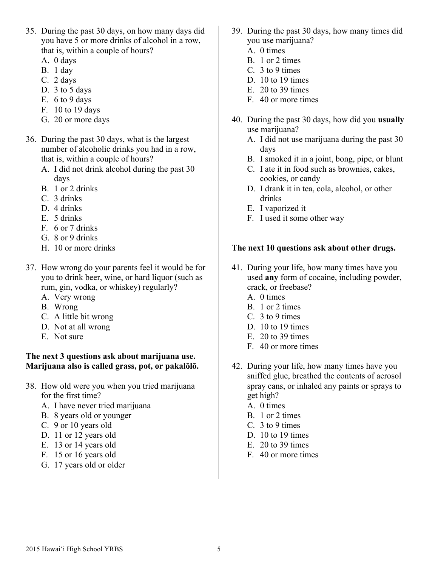- 35. During the past 30 days, on how many days did you have 5 or more drinks of alcohol in a row, that is, within a couple of hours?
	- A. 0 days
	- B. 1 day
	- C. 2 days
	- D. 3 to 5 days
	- E.  $6$  to  $9$  days
	- F. 10 to 19 days
	- G. 20 or more days
- 36. During the past 30 days, what is the largest number of alcoholic drinks you had in a row, that is, within a couple of hours?
	- A. I did not drink alcohol during the past 30 days
	- B. 1 or 2 drinks
	- C. 3 drinks
	- D. 4 drinks
	- E. 5 drinks
	- F. 6 or 7 drinks
	- G. 8 or 9 drinks
	- H. 10 or more drinks
- 37. How wrong do your parents feel it would be for you to drink beer, wine, or hard liquor (such as rum, gin, vodka, or whiskey) regularly?
	- A. Very wrong
	- B. Wrong
	- C. A little bit wrong
	- D. Not at all wrong
	- E. Not sure

#### **The next 3 questions ask about marijuana use. Marijuana also is called grass, pot, or pakalōlō.**

- 38. How old were you when you tried marijuana for the first time?
	- A. I have never tried marijuana
	- B. 8 years old or younger
	- C. 9 or 10 years old
	- D. 11 or 12 years old
	- E. 13 or 14 years old
	- F. 15 or 16 years old
	- G. 17 years old or older
- 39. During the past 30 days, how many times did you use marijuana?
	- A. 0 times
	- B. 1 or 2 times
	- C. 3 to 9 times
	- D. 10 to 19 times
	- E. 20 to 39 times
	- F. 40 or more times
- 40. During the past 30 days, how did you **usually**  use marijuana?
	- A. I did not use marijuana during the past 30 days
	- B. I smoked it in a joint, bong, pipe, or blunt
	- C. I ate it in food such as brownies, cakes, cookies, or candy
	- D. I drank it in tea, cola, alcohol, or other drinks
	- E. I vaporized it
	- F. I used it some other way

#### **The next 10 questions ask about other drugs.**

- 41. During your life, how many times have you used **any** form of cocaine, including powder, crack, or freebase?
	- A. 0 times
	- B. 1 or 2 times
	- C. 3 to 9 times
	- D. 10 to 19 times
	- E. 20 to 39 times
	- F. 40 or more times
- 42. During your life, how many times have you sniffed glue, breathed the contents of aerosol spray cans, or inhaled any paints or sprays to get high?
	- A. 0 times
	- B. 1 or 2 times
	- C. 3 to 9 times
	- D. 10 to 19 times
	- E. 20 to 39 times
	- F. 40 or more times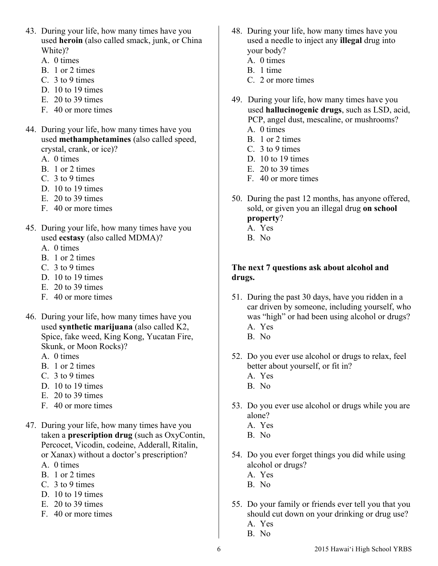- 43. During your life, how many times have you used **heroin** (also called smack, junk, or China White)?
	- A. 0 times
	- B. 1 or 2 times
	- C. 3 to 9 times
	- D. 10 to 19 times
	- E. 20 to 39 times
	- F. 40 or more times
- 44. During your life, how many times have you used **methamphetamines** (also called speed, crystal, crank, or ice)?
	- A. 0 times
	- B. 1 or 2 times
	- C. 3 to 9 times
	- D. 10 to 19 times
	- $E = 20$  to 39 times
	- F. 40 or more times
- 45. During your life, how many times have you used **ecstasy** (also called MDMA)?
	- A. 0 times
	- B. 1 or 2 times
	- C. 3 to 9 times
	- D. 10 to 19 times
	- E. 20 to 39 times
	- F. 40 or more times
- 46. During your life, how many times have you used **synthetic marijuana** (also called K2, Spice, fake weed, King Kong, Yucatan Fire, Skunk, or Moon Rocks)?
	- A. 0 times
	- B. 1 or 2 times
	- C. 3 to 9 times
	- D. 10 to 19 times
	- E. 20 to 39 times
	- F. 40 or more times
- 47. During your life, how many times have you taken a **prescription drug** (such as OxyContin, Percocet, Vicodin, codeine, Adderall, Ritalin, or Xanax) without a doctor's prescription?
	- A. 0 times
	- B. 1 or 2 times
	- C. 3 to 9 times
	- D. 10 to 19 times
	- E. 20 to 39 times
	- F. 40 or more times
- 48. During your life, how many times have you used a needle to inject any **illegal** drug into your body?
	- A. 0 times
	- B. 1 time
	- C. 2 or more times
- 49. During your life, how many times have you used **hallucinogenic drugs**, such as LSD, acid, PCP, angel dust, mescaline, or mushrooms?
	- A. 0 times
	- B. 1 or 2 times
	- C. 3 to 9 times
	- D. 10 to 19 times
	- E. 20 to 39 times
	- F. 40 or more times
- 50. During the past 12 months, has anyone offered, sold, or given you an illegal drug **on school property**?
	- A. Yes
	- B. No

#### **The next 7 questions ask about alcohol and drugs.**

- 51. During the past 30 days, have you ridden in a car driven by someone, including yourself, who was "high" or had been using alcohol or drugs? A. Yes
	- B. No
- 52. Do you ever use alcohol or drugs to relax, feel better about yourself, or fit in?
	- A. Yes
	- B. No
- 53. Do you ever use alcohol or drugs while you are alone?
	- A. Yes
	- B. No
- 54. Do you ever forget things you did while using alcohol or drugs?
	- A. Yes
	- B. No
- 55. Do your family or friends ever tell you that you should cut down on your drinking or drug use? A. Yes
	- B. No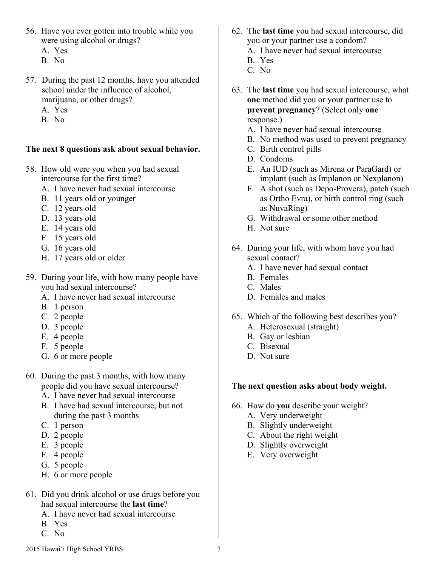- 56. Have you ever gotten into trouble while you were using alcohol or drugs?
	- A. Yes
	- B. No
- 57. During the past 12 months, have you attended school under the influence of alcohol, marijuana, or other drugs?
	- A. Yes
	- B. No

## **The next 8 questions ask about sexual behavior.**

- 58. How old were you when you had sexual intercourse for the first time?
	- A. I have never had sexual intercourse
	- B. 11 years old or younger
	- C. 12 years old
	- D. 13 years old
	- E. 14 years old
	- F. 15 years old
	- G. 16 years old
	- H. 17 years old or older
- 59. During your life, with how many people have you had sexual intercourse?
	- A. I have never had sexual intercourse
	- B. 1 person
	- C. 2 people
	- D. 3 people
	- E. 4 people
	- F. 5 people
	- G. 6 or more people
- 60. During the past 3 months, with how many people did you have sexual intercourse?
	- A. I have never had sexual intercourse
	- B. I have had sexual intercourse, but not during the past 3 months
	- C. 1 person
	- D. 2 people
	- E. 3 people
	- F. 4 people
	- G. 5 people
	- H. 6 or more people
- 61. Did you drink alcohol or use drugs before you had sexual intercourse the **last time**?
	- A. I have never had sexual intercourse
	- B. Yes
	- C. No
- 62. The **last time** you had sexual intercourse, did you or your partner use a condom?
	- A. I have never had sexual intercourse
	- B. Yes
	- C. No
- 63. The **last time** you had sexual intercourse, what **one** method did you or your partner use to **prevent pregnancy**? (Select only **one**  response.)
	- A. I have never had sexual intercourse
	- B. No method was used to prevent pregnancy
	- C. Birth control pills
	- D. Condoms
	- E. An IUD (such as Mirena or ParaGard) or implant (such as Implanon or Nexplanon)
	- F. A shot (such as Depo-Provera), patch (such as Ortho Evra), or birth control ring (such as NuvaRing)
	- G. Withdrawal or some other method
	- H. Not sure
- 64. During your life, with whom have you had sexual contact?
	- A. I have never had sexual contact
	- B. Females
	- C. Males
	- D. Females and males
- 65. Which of the following best describes you? A. Heterosexual (straight)
	- B. Gay or lesbian
	- C. Bisexual
	- D. Not sure

# **The next question asks about body weight.**

- 66. How do **you** describe your weight?
	- A. Very underweight
	- B. Slightly underweight
	- C. About the right weight
	- D. Slightly overweight
	- E. Very overweight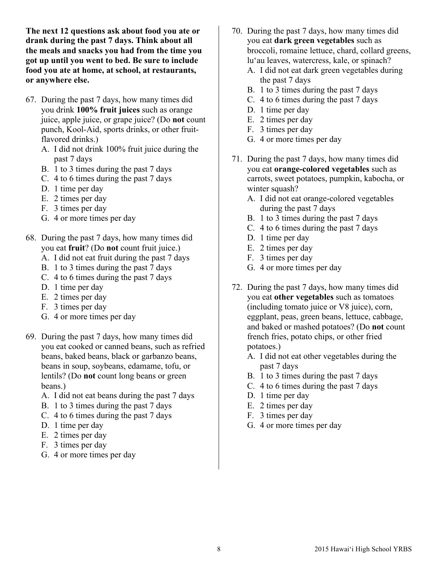**The next 12 questions ask about food you ate or drank during the past 7 days. Think about all the meals and snacks you had from the time you got up until you went to bed. Be sure to include food you ate at home, at school, at restaurants, or anywhere else.**

- 67. During the past 7 days, how many times did you drink **100% fruit juices** such as orange juice, apple juice, or grape juice? (Do **not** count punch, Kool-Aid, sports drinks, or other fruitflavored drinks.)
	- A. I did not drink 100% fruit juice during the past 7 days
	- B. 1 to 3 times during the past 7 days
	- C. 4 to 6 times during the past 7 days
	- D. 1 time per day
	- E. 2 times per day
	- F. 3 times per day
	- G. 4 or more times per day
- 68. During the past 7 days, how many times did you eat **fruit**? (Do **not** count fruit juice.)
	- A. I did not eat fruit during the past 7 days
	- B. 1 to 3 times during the past 7 days
	- C. 4 to 6 times during the past 7 days
	- D. 1 time per day
	- E. 2 times per day
	- F. 3 times per day
	- G. 4 or more times per day
- 69. During the past 7 days, how many times did you eat cooked or canned beans, such as refried beans, baked beans, black or garbanzo beans, beans in soup, soybeans, edamame, tofu, or lentils? (Do **not** count long beans or green beans.)
	- A. I did not eat beans during the past 7 days
	- B. 1 to 3 times during the past 7 days
	- C. 4 to 6 times during the past 7 days
	- D. 1 time per day
	- E. 2 times per day
	- F. 3 times per day
	- G. 4 or more times per day
- 70. During the past 7 days, how many times did you eat **dark green vegetables** such as broccoli, romaine lettuce, chard, collard greens, lu'au leaves, watercress, kale, or spinach?
	- A. I did not eat dark green vegetables during the past 7 days
	- B. 1 to 3 times during the past 7 days
	- C. 4 to 6 times during the past 7 days
	- D. 1 time per day
	- E. 2 times per day
	- F. 3 times per day
	- G. 4 or more times per day
- 71. During the past 7 days, how many times did you eat **orange-colored vegetables** such as carrots, sweet potatoes, pumpkin, kabocha, or winter squash?
	- A. I did not eat orange-colored vegetables during the past 7 days
	- B. 1 to 3 times during the past 7 days
	- C. 4 to 6 times during the past 7 days
	- D. 1 time per day
	- E. 2 times per day
	- F. 3 times per day
	- G. 4 or more times per day
- 72. During the past 7 days, how many times did you eat **other vegetables** such as tomatoes (including tomato juice or V8 juice), corn, eggplant, peas, green beans, lettuce, cabbage, and baked or mashed potatoes? (Do **not** count french fries, potato chips, or other fried potatoes.)
	- A. I did not eat other vegetables during the past 7 days
	- B. 1 to 3 times during the past 7 days
	- C. 4 to 6 times during the past 7 days
	- D. 1 time per day
	- E. 2 times per day
	- F. 3 times per day
	- G. 4 or more times per day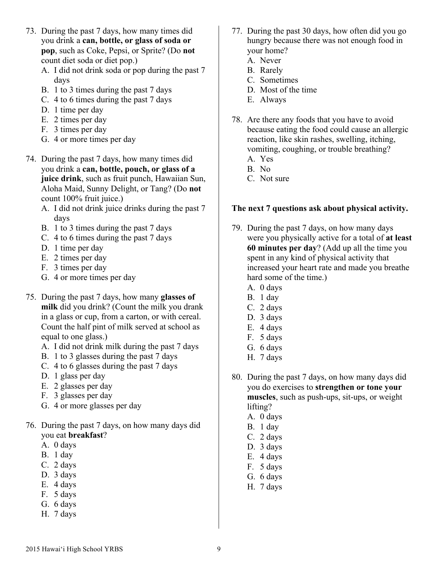- 73. During the past 7 days, how many times did you drink a **can, bottle, or glass of soda or pop**, such as Coke, Pepsi, or Sprite? (Do **not** count diet soda or diet pop.)
	- A. I did not drink soda or pop during the past 7 days
	- B. 1 to 3 times during the past 7 days
	- C. 4 to 6 times during the past 7 days
	- D. 1 time per day
	- E. 2 times per day
	- F. 3 times per day
	- G. 4 or more times per day
- 74. During the past 7 days, how many times did you drink a **can, bottle, pouch, or glass of a juice drink**, such as fruit punch, Hawaiian Sun, Aloha Maid, Sunny Delight, or Tang? (Do **not** count 100% fruit juice.)
	- A. I did not drink juice drinks during the past 7 days
	- B. 1 to 3 times during the past 7 days
	- C. 4 to 6 times during the past 7 days
	- D. 1 time per day
	- E. 2 times per day
	- F. 3 times per day
	- G. 4 or more times per day
- 75. During the past 7 days, how many **glasses of milk** did you drink? (Count the milk you drank in a glass or cup, from a carton, or with cereal. Count the half pint of milk served at school as equal to one glass.)
	- A. I did not drink milk during the past 7 days
	- B. 1 to 3 glasses during the past 7 days
	- C. 4 to 6 glasses during the past 7 days
	- D. 1 glass per day
	- E. 2 glasses per day
	- F. 3 glasses per day
	- G. 4 or more glasses per day
- 76. During the past 7 days, on how many days did you eat **breakfast**?
	- A. 0 days
	- B. 1 day
	- C. 2 days
	- D. 3 days
	- E. 4 days
	- F. 5 days
	- G. 6 days
	- H. 7 days
- 77. During the past 30 days, how often did you go hungry because there was not enough food in your home?
	- A. Never
	- B. Rarely
	- C. Sometimes
	- D. Most of the time
	- E. Always
- 78. Are there any foods that you have to avoid because eating the food could cause an allergic reaction, like skin rashes, swelling, itching, vomiting, coughing, or trouble breathing?
	- A. Yes
	- B. No
	- C. Not sure

# **The next 7 questions ask about physical activity.**

- 79. During the past 7 days, on how many days were you physically active for a total of **at least 60 minutes per day**? (Add up all the time you spent in any kind of physical activity that increased your heart rate and made you breathe hard some of the time.)
	- A. 0 days
	- B. 1 day
	- C. 2 days
	- D. 3 days
	- E. 4 days
	- F. 5 days
	- G. 6 days
	- H. 7 days
- 80. During the past 7 days, on how many days did you do exercises to **strengthen or tone your muscles**, such as push-ups, sit-ups, or weight lifting?
	- A. 0 days
	- B. 1 day
	- C. 2 days
	- D. 3 days
	- E. 4 days
	- F. 5 days
	- G. 6 days
	- H. 7 days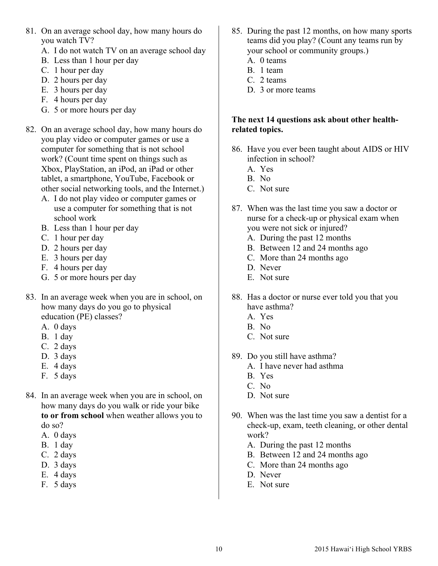- 81. On an average school day, how many hours do you watch TV?
	- A. I do not watch TV on an average school day
	- B. Less than 1 hour per day
	- C. 1 hour per day
	- D. 2 hours per day
	- E. 3 hours per day
	- F. 4 hours per day
	- G. 5 or more hours per day
- 82. On an average school day, how many hours do you play video or computer games or use a computer for something that is not school work? (Count time spent on things such as Xbox, PlayStation, an iPod, an iPad or other tablet, a smartphone, YouTube, Facebook or other social networking tools, and the Internet.)
	- A. I do not play video or computer games or use a computer for something that is not school work
	- B. Less than 1 hour per day
	- C. 1 hour per day
	- D. 2 hours per day
	- E. 3 hours per day
	- F. 4 hours per day
	- G. 5 or more hours per day
- 83. In an average week when you are in school, on how many days do you go to physical education (PE) classes?
	- A. 0 days
	- B. 1 day
	- C. 2 days
	- D. 3 days
	- E. 4 days
	- F. 5 days
- 84. In an average week when you are in school, on how many days do you walk or ride your bike **to or from school** when weather allows you to do so?
	- A. 0 days
	- B. 1 day
	- C. 2 days
	- D. 3 days
	- E. 4 days
	- F. 5 days
- 85. During the past 12 months, on how many sports teams did you play? (Count any teams run by your school or community groups.)
	- A. 0 teams
	- B. 1 team
	- C. 2 teams
	- D. 3 or more teams

# **The next 14 questions ask about other healthrelated topics.**

- 86. Have you ever been taught about AIDS or HIV infection in school?
	- A. Yes
	- B. No
	- C. Not sure
- 87. When was the last time you saw a doctor or nurse for a check-up or physical exam when you were not sick or injured?
	- A. During the past 12 months
	- B. Between 12 and 24 months ago
	- C. More than 24 months ago
	- D. Never
	- E. Not sure
- 88. Has a doctor or nurse ever told you that you have asthma?
	- A. Yes
	- B. No
	- C. Not sure
- 89. Do you still have asthma?
	- A. I have never had asthma
	- B. Yes
	- C. No
	- D. Not sure
- 90. When was the last time you saw a dentist for a check-up, exam, teeth cleaning, or other dental work?
	- A. During the past 12 months
	- B. Between 12 and 24 months ago
	- C. More than 24 months ago
	- D. Never
	- E. Not sure